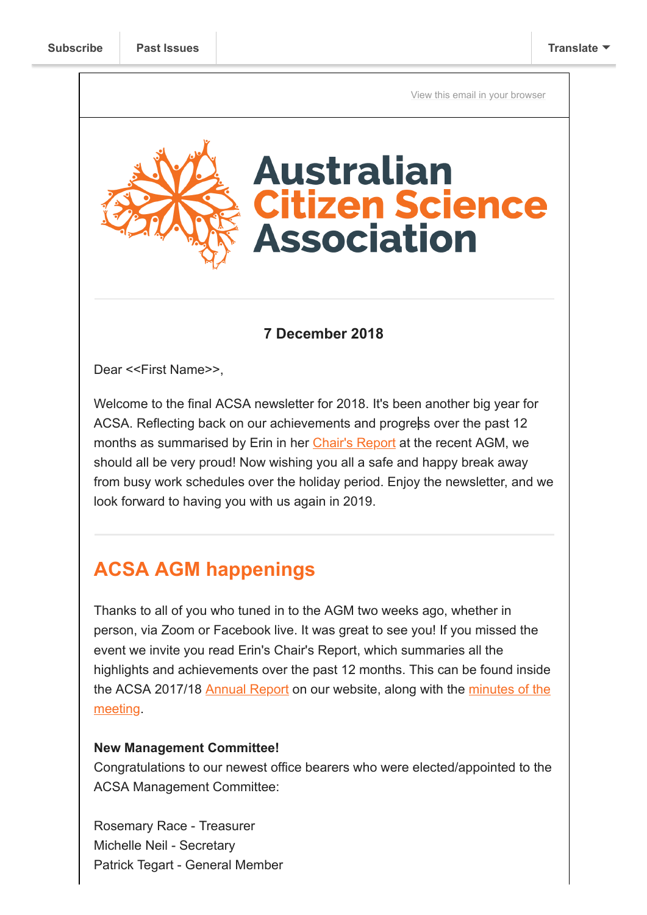[View this email in your browser](https://mailchi.mp/cffe103bdeb2/your-new-management-committee-abc-opportunity-and-a-citsci2019-discount?e=[UNIQID])



## **7 December 2018**

Dear <<First Name>>,

Welcome to the final ACSA newsletter for 2018. It's been another big year for ACSA. Reflecting back on our achievements and progress over the past 12 months as summarised by Erin in her [Chair's Report](https://citizenscience.org.au/wp-content/uploads/2018/11/2017-18-Annual-Report.pdf) at the recent AGM, we should all be very proud! Now wishing you all a safe and happy break away from busy work schedules over the holiday period. Enjoy the newsletter, and we look forward to having you with us again in 2019.

# **ACSA AGM happenings**

Thanks to all of you who tuned in to the AGM two weeks ago, whether in person, via Zoom or Facebook live. It was great to see you! If you missed the event we invite you read Erin's Chair's Report, which summaries all the highlights and achievements over the past 12 months. This can be found inside [the ACSA 2017/18](https://citizenscience.org.au/wp-content/uploads/2018/11/AGM-Minutes_151118.pdf) [Annual Report](https://citizenscience.org.au/wp-content/uploads/2018/11/2017-18-Annual-Report.pdf) [on our website, along with the minutes of the](https://citizenscience.org.au/wp-content/uploads/2018/11/AGM-Minutes_151118.pdf) meeting.

#### **New Management Committee!**

Congratulations to our newest office bearers who were elected/appointed to the ACSA Management Committee:

Rosemary Race - Treasurer Michelle Neil - Secretary Patrick Tegart - General Member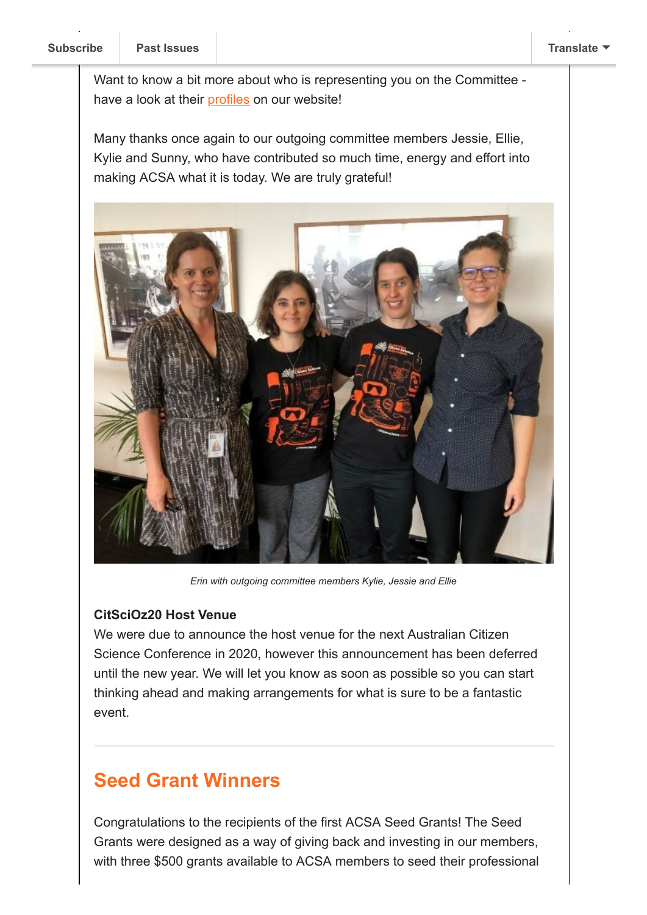Want to know a bit more about who is representing you on the Committee have a look at their [profiles](https://citizenscience.org.au/who-we-are/management-committee/) on our website!

Many thanks once again to our outgoing committee members Jessie, Ellie, Kylie and Sunny, who have contributed so much time, energy and effort into making ACSA what it is today. We are truly grateful!



*Erin with outgoing committee members Kylie, Jessie and Ellie*

### **CitSciOz20 Host Venue**

We were due to announce the host venue for the next Australian Citizen Science Conference in 2020, however this announcement has been deferred until the new year. We will let you know as soon as possible so you can start thinking ahead and making arrangements for what is sure to be a fantastic event.

## **Seed Grant Winners**

Congratulations to the recipients of the first ACSA Seed Grants! The Seed Grants were designed as a way of giving back and investing in our members, with three \$500 grants available to ACSA members to seed their professional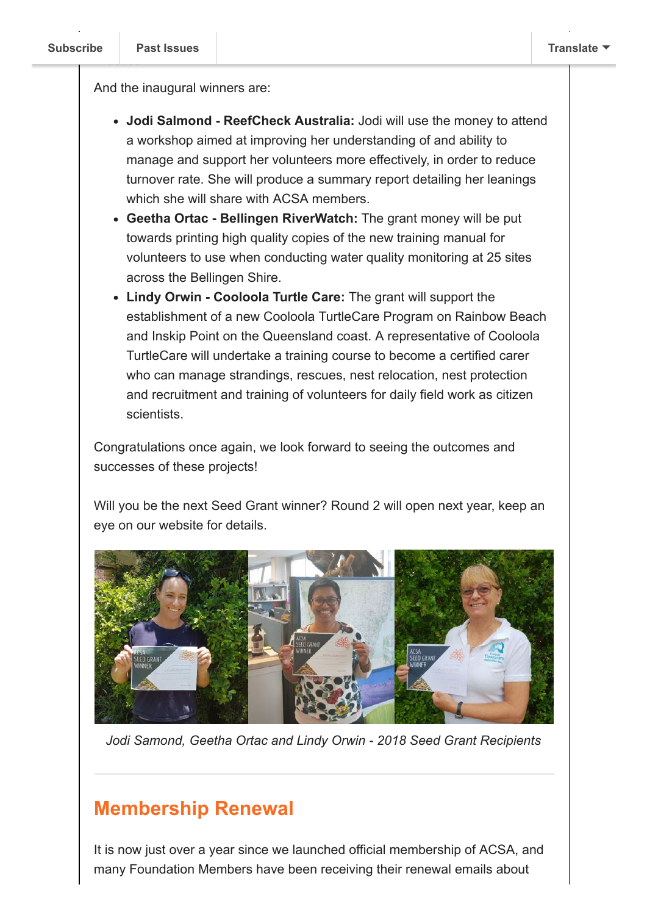And the inaugural winners are:

- **Jodi Salmond ReefCheck Australia:** Jodi will use the money to attend a workshop aimed at improving her understanding of and ability to manage and support her volunteers more effectively, in order to reduce turnover rate. She will produce a summary report detailing her leanings which she will share with ACSA members.
- **Geetha Ortac Bellingen RiverWatch:** The grant money will be put towards printing high quality copies of the new training manual for volunteers to use when conducting water quality monitoring at 25 sites across the Bellingen Shire.
- **Lindy Orwin Cooloola Turtle Care:** The grant will support the establishment of a new Cooloola TurtleCare Program on Rainbow Beach and Inskip Point on the Queensland coast. A representative of Cooloola TurtleCare will undertake a training course to become a certified carer who can manage strandings, rescues, nest relocation, nest protection and recruitment and training of volunteers for daily field work as citizen scientists.

Congratulations once again, we look forward to seeing the outcomes and successes of these projects!

Will you be the next Seed Grant winner? Round 2 will open next year, keep an eye on our website for details.



*Jodi Samond, Geetha Ortac and Lindy Orwin - 2018 Seed Grant Recipients*

## **Membership Renewal**

It is now just over a year since we launched official membership of ACSA, and many Foundation Members have been receiving their renewal emails about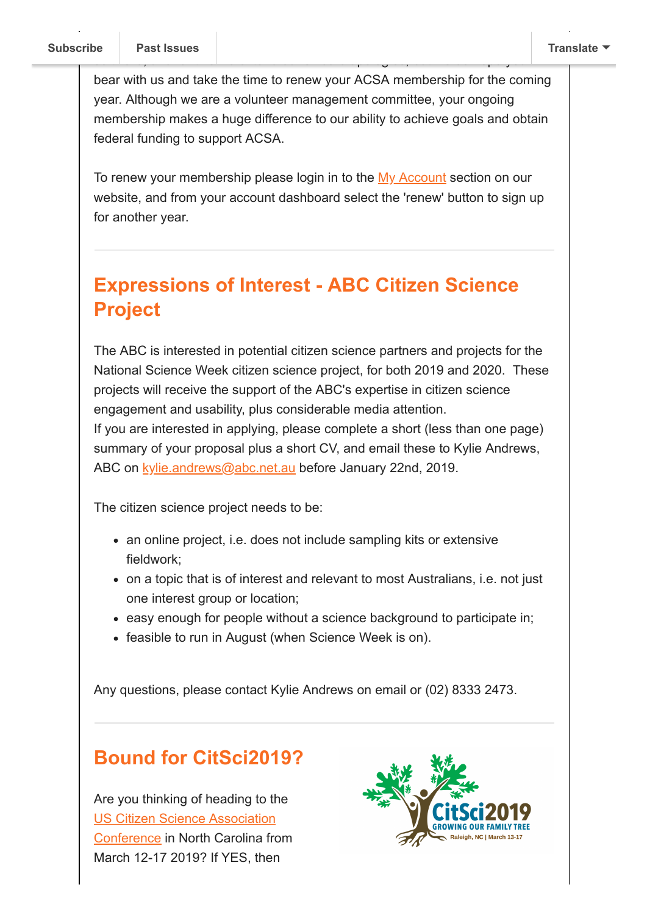bear with us and take the time to renew your ACSA membership for the coming year. Although we are a volunteer management committee, your ongoing membership makes a huge difference to our ability to achieve goals and obtain federal funding to support ACSA.

software, and for this we extend our sincere apologies, but we do hope you'll

To renew your membership please login in to the [My Account](https://citizenscience.org.au/my-account/) section on our website, and from your account dashboard select the 'renew' button to sign up for another year.

# **Expressions of Interest - ABC Citizen Science Project**

The ABC is interested in potential citizen science partners and projects for the National Science Week citizen science project, for both 2019 and 2020. These projects will receive the support of the ABC's expertise in citizen science engagement and usability, plus considerable media attention. If you are interested in applying, please complete a short (less than one page) summary of your proposal plus a short CV, and email these to Kylie Andrews, ABC on [kylie.andrews@abc.net.au](mailto:kylie.andrews@abc.net.au) before January 22nd, 2019.

The citizen science project needs to be:

- an online project, i.e. does not include sampling kits or extensive fieldwork;
- on a topic that is of interest and relevant to most Australians, i.e. not just one interest group or location;
- easy enough for people without a science background to participate in;
- feasible to run in August (when Science Week is on).

Any questions, please contact Kylie Andrews on email or (02) 8333 2473.

# **Bound for CitSci2019?**

Are you thinking of heading to the US Citizen Science Association [Conference in North Carolina fro](https://www.citizenscience.org/association/conferences/citsci2019/)m March 12-17 2019? If YES, then

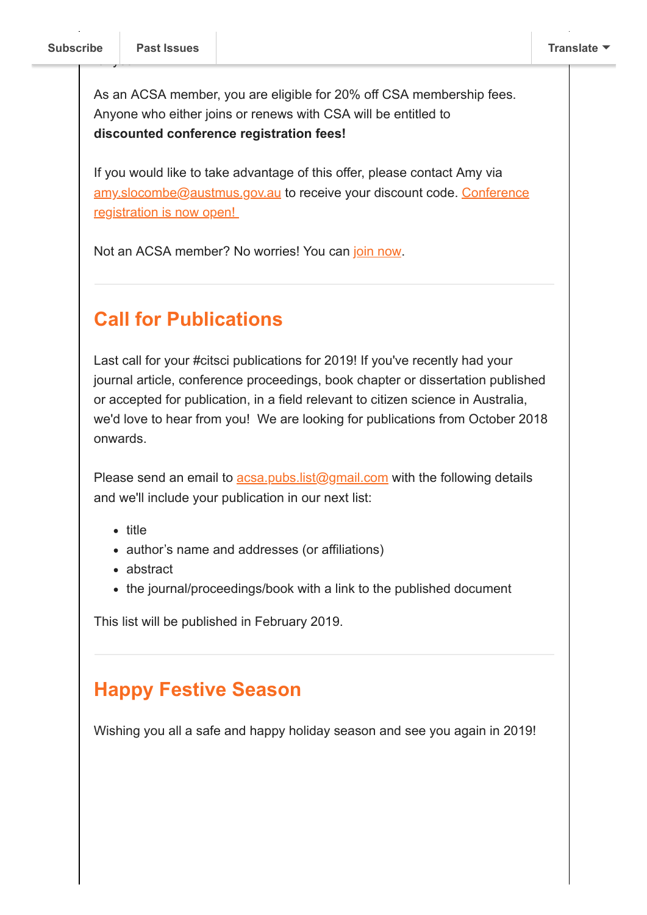$f(x)$ 

As an ACSA member, you are eligible for 20% off CSA membership fees. Anyone who either joins or renews with CSA will be entitled to **discounted conference registration fees!**

If you would like to take advantage of this offer, please contact Amy via [amy.slocombe@austmus.gov.au](mailto:amy.slocombe@austmus.gov.au?subject=CSA2019%20Discount%20Code) [to receive your discount code. Conference](https://citsci2019.exordo.com/login) registration is now open!

Not an ACSA member? No worries! You can [join now.](https://citizenscience.org.au/join-now/)

# **Call for Publications**

Last call for your #citsci publications for 2019! If you've recently had your journal article, conference proceedings, book chapter or dissertation published or accepted for publication, in a field relevant to citizen science in Australia, we'd love to hear from you! We are looking for publications from October 2018 onwards.

Please send an email to  $\frac{acsa.pubs.list(@gmail.com)}{acm}$  with the following details and we'll include your publication in our next list:

- title
- author's name and addresses (or affiliations)
- abstract
- the journal/proceedings/book with a link to the published document

This list will be published in February 2019.

# **Happy Festive Season**

Wishing you all a safe and happy holiday season and see you again in 2019!